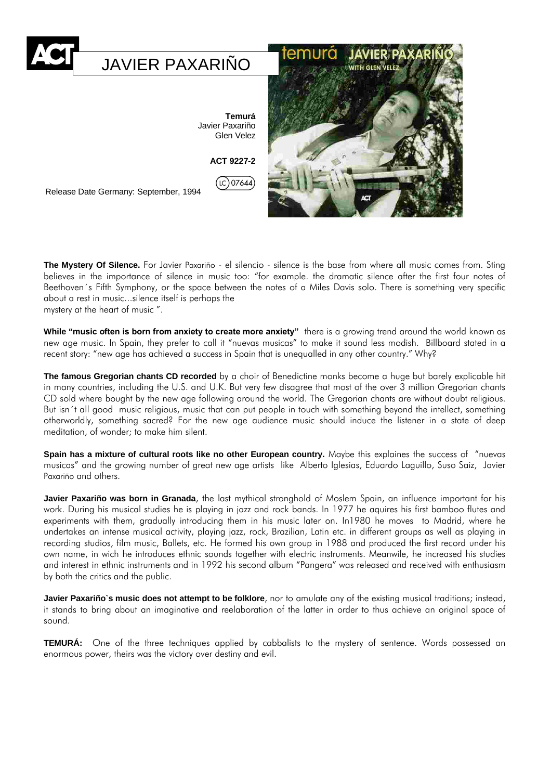

**The Mystery Of Silence.** For Javier Paxariño - el silencio - silence is the base from where all music comes from. Sting believes in the importance of silence in music too: "for example. the dramatic silence after the first four notes of Beethoven´s Fifth Symphony, or the space between the notes of a Miles Davis solo. There is something very specific about a rest in music...silence itself is perhaps the mystery at the heart of music ".

**While "music often is born from anxiety to create more anxiety"** there is a growing trend around the world known as new age music. In Spain, they prefer to call it "nuevas musicas" to make it sound less modish. Billboard stated in a recent story: "new age has achieved a success in Spain that is unequalled in any other country." Why?

**The famous Gregorian chants CD recorded** by a choir of Benedictine monks become a huge but barely explicable hit in many countries, including the U.S. and U.K. But very few disagree that most of the over 3 million Gregorian chants CD sold where bought by the new age following around the world. The Gregorian chants are without doubt religious. But isn´t all good music religious, music that can put people in touch with something beyond the intellect, something otherworldly, something sacred? For the new age audience music should induce the listener in a state of deep meditation, of wonder; to make him silent.

**Spain has a mixture of cultural roots like no other European country.** Maybe this explaines the success of "nuevas musicas" and the growing number of great new age artists like Alberto Iglesias, Eduardo Laguillo, Suso Saiz, Javier Paxariño and others.

**Javier Paxariño was born in Granada**, the last mythical stronghold of Moslem Spain, an influence important for his work. During his musical studies he is playing in jazz and rock bands. In 1977 he aquires his first bamboo flutes and experiments with them, gradually introducing them in his music later on. In1980 he moves to Madrid, where he undertakes an intense musical activity, playing jazz, rock, Brazilian, Latin etc. in different groups as well as playing in recording studios, film music, Ballets, etc. He formed his own group in 1988 and produced the first record under his own name, in wich he introduces ethnic sounds together with electric instruments. Meanwile, he increased his studies and interest in ethnic instruments and in 1992 his second album "Pangera" was released and received with enthusiasm by both the critics and the public.

**Javier Paxariño`s music does not attempt to be folklore**, nor to amulate any of the existing musical traditions; instead, it stands to bring about an imaginative and reelaboration of the latter in order to thus achieve an original space of sound.

**TEMURÁ:** One of the three techniques applied by cabbalists to the mystery of sentence. Words possessed an enormous power, theirs was the victory over destiny and evil.